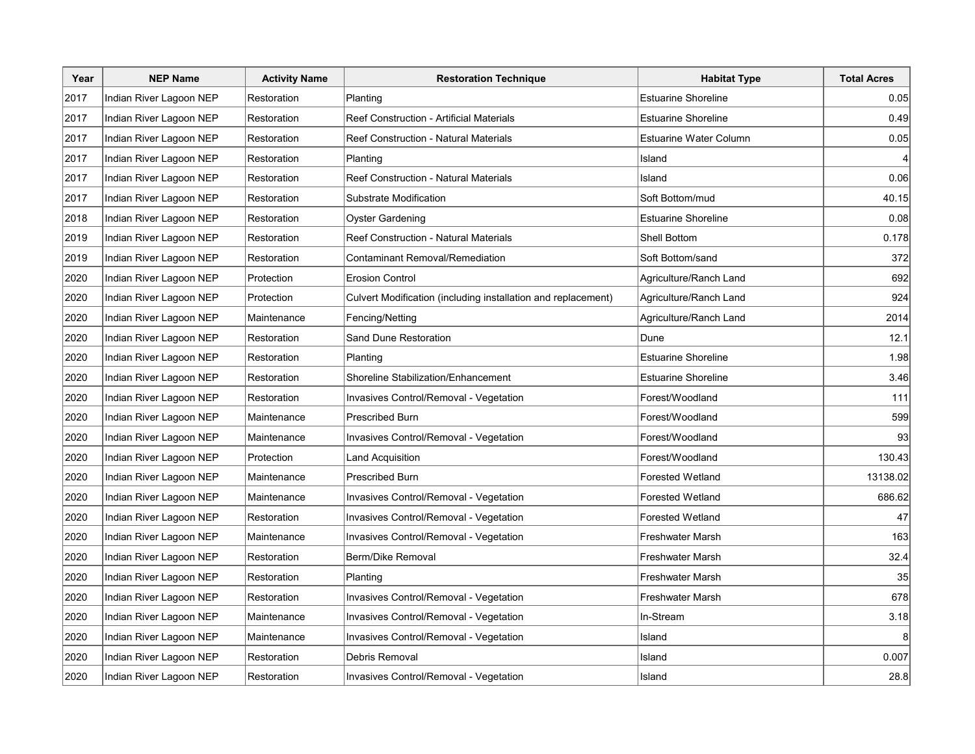| Year | <b>NEP Name</b>         | <b>Activity Name</b> | <b>Restoration Technique</b>                                  | <b>Habitat Type</b>        | <b>Total Acres</b> |
|------|-------------------------|----------------------|---------------------------------------------------------------|----------------------------|--------------------|
| 2017 | Indian River Lagoon NEP | Restoration          | Planting                                                      | <b>Estuarine Shoreline</b> | 0.05               |
| 2017 | Indian River Lagoon NEP | Restoration          | Reef Construction - Artificial Materials                      | <b>Estuarine Shoreline</b> | 0.49               |
| 2017 | Indian River Lagoon NEP | Restoration          | Reef Construction - Natural Materials                         | Estuarine Water Column     | 0.05               |
| 2017 | Indian River Lagoon NEP | Restoration          | Planting                                                      | Island                     |                    |
| 2017 | Indian River Lagoon NEP | Restoration          | Reef Construction - Natural Materials                         | Island                     | 0.06               |
| 2017 | Indian River Lagoon NEP | Restoration          | Substrate Modification                                        | Soft Bottom/mud            | 40.15              |
| 2018 | Indian River Lagoon NEP | Restoration          | Oyster Gardening                                              | <b>Estuarine Shoreline</b> | 0.08               |
| 2019 | Indian River Lagoon NEP | Restoration          | Reef Construction - Natural Materials                         | <b>Shell Bottom</b>        | 0.178              |
| 2019 | Indian River Lagoon NEP | Restoration          | Contaminant Removal/Remediation                               | Soft Bottom/sand           | 372                |
| 2020 | Indian River Lagoon NEP | Protection           | <b>Erosion Control</b>                                        | Agriculture/Ranch Land     | 692                |
| 2020 | Indian River Lagoon NEP | Protection           | Culvert Modification (including installation and replacement) | Agriculture/Ranch Land     | 924                |
| 2020 | Indian River Lagoon NEP | Maintenance          | Fencing/Netting                                               | Agriculture/Ranch Land     | 2014               |
| 2020 | Indian River Lagoon NEP | Restoration          | Sand Dune Restoration                                         | Dune                       | 12.1               |
| 2020 | Indian River Lagoon NEP | Restoration          | Planting                                                      | <b>Estuarine Shoreline</b> | 1.98               |
| 2020 | Indian River Lagoon NEP | Restoration          | Shoreline Stabilization/Enhancement                           | <b>Estuarine Shoreline</b> | 3.46               |
| 2020 | Indian River Lagoon NEP | Restoration          | Invasives Control/Removal - Vegetation                        | Forest/Woodland            | 111                |
| 2020 | Indian River Lagoon NEP | Maintenance          | <b>Prescribed Burn</b>                                        | Forest/Woodland            | 599                |
| 2020 | Indian River Lagoon NEP | Maintenance          | Invasives Control/Removal - Vegetation                        | Forest/Woodland            | 93                 |
| 2020 | Indian River Lagoon NEP | Protection           | <b>Land Acquisition</b>                                       | Forest/Woodland            | 130.43             |
| 2020 | Indian River Lagoon NEP | Maintenance          | <b>Prescribed Burn</b>                                        | <b>Forested Wetland</b>    | 13138.02           |
| 2020 | Indian River Lagoon NEP | Maintenance          | Invasives Control/Removal - Vegetation                        | Forested Wetland           | 686.62             |
| 2020 | Indian River Lagoon NEP | Restoration          | Invasives Control/Removal - Vegetation                        | <b>Forested Wetland</b>    | 47                 |
| 2020 | Indian River Lagoon NEP | Maintenance          | Invasives Control/Removal - Vegetation                        | Freshwater Marsh           | 163                |
| 2020 | Indian River Lagoon NEP | Restoration          | Berm/Dike Removal                                             | Freshwater Marsh           | 32.4               |
| 2020 | Indian River Lagoon NEP | Restoration          | Planting                                                      | Freshwater Marsh           | 35                 |
| 2020 | Indian River Lagoon NEP | Restoration          | Invasives Control/Removal - Vegetation                        | Freshwater Marsh           | 678                |
| 2020 | Indian River Lagoon NEP | Maintenance          | Invasives Control/Removal - Vegetation                        | In-Stream                  | 3.18               |
| 2020 | Indian River Lagoon NEP | Maintenance          | Invasives Control/Removal - Vegetation                        | Island                     | 8                  |
| 2020 | Indian River Lagoon NEP | Restoration          | Debris Removal                                                | Island                     | 0.007              |
| 2020 | Indian River Lagoon NEP | Restoration          | Invasives Control/Removal - Vegetation                        | Island                     | 28.8               |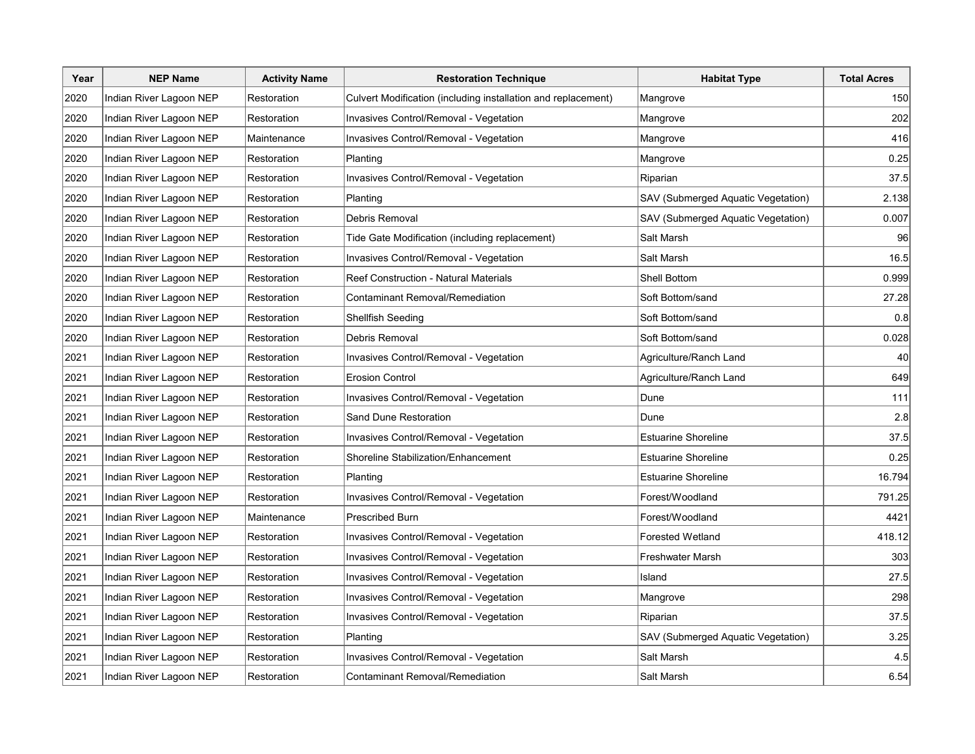| Year | <b>NEP Name</b>         | <b>Activity Name</b> | <b>Restoration Technique</b>                                  | <b>Habitat Type</b>                | <b>Total Acres</b> |
|------|-------------------------|----------------------|---------------------------------------------------------------|------------------------------------|--------------------|
| 2020 | Indian River Lagoon NEP | Restoration          | Culvert Modification (including installation and replacement) | Mangrove                           | 150                |
| 2020 | Indian River Lagoon NEP | Restoration          | Invasives Control/Removal - Vegetation                        | Mangrove                           | 202                |
| 2020 | Indian River Lagoon NEP | Maintenance          | Invasives Control/Removal - Vegetation                        | Mangrove                           | 416                |
| 2020 | Indian River Lagoon NEP | Restoration          | Planting                                                      | Mangrove                           | 0.25               |
| 2020 | Indian River Lagoon NEP | Restoration          | Invasives Control/Removal - Vegetation                        | Riparian                           | 37.5               |
| 2020 | Indian River Lagoon NEP | Restoration          | Planting                                                      | SAV (Submerged Aquatic Vegetation) | 2.138              |
| 2020 | Indian River Lagoon NEP | Restoration          | Debris Removal                                                | SAV (Submerged Aquatic Vegetation) | 0.007              |
| 2020 | Indian River Lagoon NEP | Restoration          | Tide Gate Modification (including replacement)                | Salt Marsh                         | 96                 |
| 2020 | Indian River Lagoon NEP | Restoration          | Invasives Control/Removal - Vegetation                        | Salt Marsh                         | 16.5               |
| 2020 | Indian River Lagoon NEP | Restoration          | Reef Construction - Natural Materials                         | <b>Shell Bottom</b>                | 0.999              |
| 2020 | Indian River Lagoon NEP | Restoration          | Contaminant Removal/Remediation                               | Soft Bottom/sand                   | 27.28              |
| 2020 | Indian River Lagoon NEP | Restoration          | Shellfish Seeding                                             | Soft Bottom/sand                   | 0.8                |
| 2020 | Indian River Lagoon NEP | Restoration          | Debris Removal                                                | Soft Bottom/sand                   | 0.028              |
| 2021 | Indian River Lagoon NEP | Restoration          | Invasives Control/Removal - Vegetation                        | Agriculture/Ranch Land             | 40                 |
| 2021 | Indian River Lagoon NEP | Restoration          | <b>Erosion Control</b>                                        | Agriculture/Ranch Land             | 649                |
| 2021 | Indian River Lagoon NEP | Restoration          | Invasives Control/Removal - Vegetation                        | Dune                               | 111                |
| 2021 | Indian River Lagoon NEP | Restoration          | Sand Dune Restoration                                         | Dune                               | 2.8                |
| 2021 | Indian River Lagoon NEP | Restoration          | Invasives Control/Removal - Vegetation                        | <b>Estuarine Shoreline</b>         | 37.5               |
| 2021 | Indian River Lagoon NEP | Restoration          | Shoreline Stabilization/Enhancement                           | <b>Estuarine Shoreline</b>         | 0.25               |
| 2021 | Indian River Lagoon NEP | Restoration          | Planting                                                      | <b>Estuarine Shoreline</b>         | 16.794             |
| 2021 | Indian River Lagoon NEP | Restoration          | Invasives Control/Removal - Vegetation                        | Forest/Woodland                    | 791.25             |
| 2021 | Indian River Lagoon NEP | Maintenance          | <b>Prescribed Burn</b>                                        | Forest/Woodland                    | 4421               |
| 2021 | Indian River Lagoon NEP | Restoration          | Invasives Control/Removal - Vegetation                        | <b>Forested Wetland</b>            | 418.12             |
| 2021 | Indian River Lagoon NEP | Restoration          | Invasives Control/Removal - Vegetation                        | Freshwater Marsh                   | 303                |
| 2021 | Indian River Lagoon NEP | Restoration          | Invasives Control/Removal - Vegetation                        | Island                             | 27.5               |
| 2021 | Indian River Lagoon NEP | Restoration          | Invasives Control/Removal - Vegetation                        | Mangrove                           | 298                |
| 2021 | Indian River Lagoon NEP | Restoration          | Invasives Control/Removal - Vegetation                        | Riparian                           | 37.5               |
| 2021 | Indian River Lagoon NEP | Restoration          | Planting                                                      | SAV (Submerged Aquatic Vegetation) | 3.25               |
| 2021 | Indian River Lagoon NEP | Restoration          | Invasives Control/Removal - Vegetation                        | Salt Marsh                         | 4.5                |
| 2021 | Indian River Lagoon NEP | Restoration          | Contaminant Removal/Remediation                               | Salt Marsh                         | 6.54               |